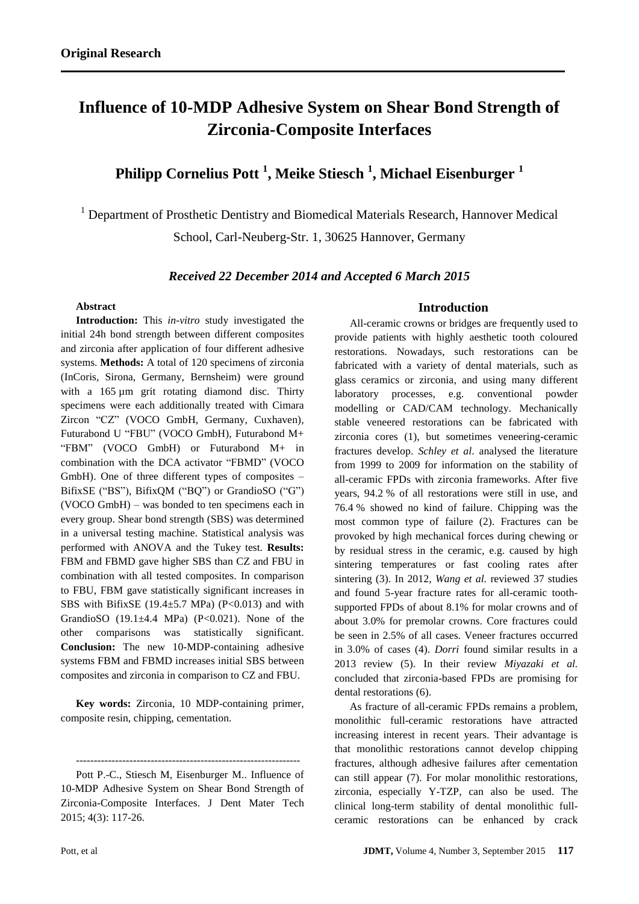# **Influence of 10-MDP Adhesive System on Shear Bond Strength of Zirconia-Composite Interfaces**

## **Philipp Cornelius Pott <sup>1</sup> , Meike Stiesch <sup>1</sup> , Michael Eisenburger <sup>1</sup>**

<sup>1</sup> Department of Prosthetic Dentistry and Biomedical Materials Research, Hannover Medical School, Carl-Neuberg-Str. 1, 30625 Hannover, Germany

*Received 22 December 2014 and Accepted 6 March 2015*

#### **Abstract**

**Introduction:** This *in-vitro* study investigated the initial 24h bond strength between different composites and zirconia after application of four different adhesive systems. **Methods:** A total of 120 specimens of zirconia (InCoris, Sirona, Germany, Bernsheim) were ground with a 165 µm grit rotating diamond disc. Thirty specimens were each additionally treated with Cimara Zircon "CZ" (VOCO GmbH, Germany, Cuxhaven), Futurabond U "FBU" (VOCO GmbH), Futurabond M+ "FBM" (VOCO GmbH) or Futurabond M+ in combination with the DCA activator "FBMD" (VOCO GmbH). One of three different types of composites – BifixSE ("BS"), BifixQM ("BQ") or GrandioSO ("G") (VOCO GmbH) – was bonded to ten specimens each in every group. Shear bond strength (SBS) was determined in a universal testing machine. Statistical analysis was performed with ANOVA and the Tukey test. **Results:**  FBM and FBMD gave higher SBS than CZ and FBU in combination with all tested composites. In comparison to FBU, FBM gave statistically significant increases in SBS with BifixSE (19.4 $\pm$ 5.7 MPa) (P<0.013) and with GrandioSO  $(19.1\pm4.4 \text{ MPa})$   $(P<0.021)$ . None of the other comparisons was statistically significant. **Conclusion:** The new 10-MDP-containing adhesive systems FBM and FBMD increases initial SBS between composites and zirconia in comparison to CZ and FBU.

**Key words:** Zirconia, 10 MDP-containing primer, composite resin, chipping, cementation.

--------------------------------------------------------------- Pott P.-C., Stiesch M, Eisenburger M.. Influence of 10-MDP Adhesive System on Shear Bond Strength of Zirconia-Composite Interfaces. J Dent Mater Tech 2015; 4(3): 117-26.

#### **Introduction**

All-ceramic crowns or bridges are frequently used to provide patients with highly aesthetic tooth coloured restorations. Nowadays, such restorations can be fabricated with a variety of dental materials, such as glass ceramics or zirconia, and using many different laboratory processes, e.g. conventional powder modelling or CAD/CAM technology. Mechanically stable veneered restorations can be fabricated with zirconia cores (1), but sometimes veneering-ceramic fractures develop. *Schley et al*. analysed the literature from 1999 to 2009 for information on the stability of all-ceramic FPDs with zirconia frameworks. After five years, 94.2 % of all restorations were still in use, and 76.4 % showed no kind of failure. Chipping was the most common type of failure (2). Fractures can be provoked by high mechanical forces during chewing or by residual stress in the ceramic, e.g. caused by high sintering temperatures or fast cooling rates after sintering (3). In 2012, *Wang et al.* reviewed 37 studies and found 5-year fracture rates for all-ceramic toothsupported FPDs of about 8.1% for molar crowns and of about 3.0% for premolar crowns. Core fractures could be seen in 2.5% of all cases. Veneer fractures occurred in 3.0% of cases (4). *Dorri* found similar results in a 2013 review (5). In their review *Miyazaki et al.* concluded that zirconia-based FPDs are promising for dental restorations (6).

As fracture of all-ceramic FPDs remains a problem, monolithic full-ceramic restorations have attracted increasing interest in recent years. Their advantage is that monolithic restorations cannot develop chipping fractures, although adhesive failures after cementation can still appear (7). For molar monolithic restorations, zirconia, especially Y-TZP, can also be used. The clinical long-term stability of dental monolithic fullceramic restorations can be enhanced by crack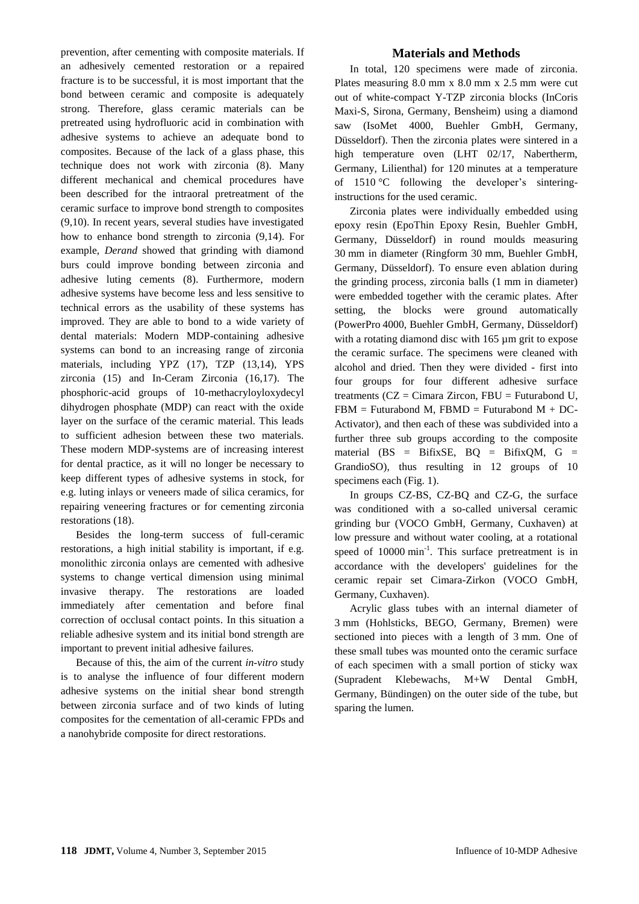prevention, after cementing with composite materials. If an adhesively cemented restoration or a repaired fracture is to be successful, it is most important that the bond between ceramic and composite is adequately strong. Therefore, glass ceramic materials can be pretreated using hydrofluoric acid in combination with adhesive systems to achieve an adequate bond to composites. Because of the lack of a glass phase, this technique does not work with zirconia (8). Many different mechanical and chemical procedures have been described for the intraoral pretreatment of the ceramic surface to improve bond strength to composites (9,10). In recent years, several studies have investigated how to enhance bond strength to zirconia (9,14). For example, *Derand* showed that grinding with diamond burs could improve bonding between zirconia and adhesive luting cements (8). Furthermore, modern adhesive systems have become less and less sensitive to technical errors as the usability of these systems has improved. They are able to bond to a wide variety of dental materials: Modern MDP-containing adhesive systems can bond to an increasing range of zirconia materials, including YPZ (17), TZP (13,14), YPS zirconia (15) and In-Ceram Zirconia (16,17). The phosphoric-acid groups of 10-methacryloyloxydecyl dihydrogen phosphate (MDP) can react with the oxide layer on the surface of the ceramic material. This leads to sufficient adhesion between these two materials. These modern MDP-systems are of increasing interest for dental practice, as it will no longer be necessary to keep different types of adhesive systems in stock, for e.g. luting inlays or veneers made of silica ceramics, for repairing veneering fractures or for cementing zirconia restorations (18).

Besides the long-term success of full-ceramic restorations, a high initial stability is important, if e.g. monolithic zirconia onlays are cemented with adhesive systems to change vertical dimension using minimal invasive therapy. The restorations are loaded immediately after cementation and before final correction of occlusal contact points. In this situation a reliable adhesive system and its initial bond strength are important to prevent initial adhesive failures.

Because of this, the aim of the current *in-vitro* study is to analyse the influence of four different modern adhesive systems on the initial shear bond strength between zirconia surface and of two kinds of luting composites for the cementation of all-ceramic FPDs and a nanohybride composite for direct restorations.

## **Materials and Methods**

In total, 120 specimens were made of zirconia. Plates measuring 8.0 mm x 8.0 mm x 2.5 mm were cut out of white-compact Y-TZP zirconia blocks (InCoris Maxi-S, Sirona, Germany, Bensheim) using a diamond saw (IsoMet 4000, Buehler GmbH, Germany, Düsseldorf). Then the zirconia plates were sintered in a high temperature oven (LHT 02/17, Nabertherm, Germany, Lilienthal) for 120 minutes at a temperature of 1510 °C following the developer's sinteringinstructions for the used ceramic.

Zirconia plates were individually embedded using epoxy resin (EpoThin Epoxy Resin, Buehler GmbH, Germany, Düsseldorf) in round moulds measuring 30 mm in diameter (Ringform 30 mm, Buehler GmbH, Germany, Düsseldorf). To ensure even ablation during the grinding process, zirconia balls (1 mm in diameter) were embedded together with the ceramic plates. After setting, the blocks were ground automatically (PowerPro 4000, Buehler GmbH, Germany, Düsseldorf) with a rotating diamond disc with 165 µm grit to expose the ceramic surface. The specimens were cleaned with alcohol and dried. Then they were divided - first into four groups for four different adhesive surface treatments ( $CZ = Cimara Zircon$ ,  $FBU = Futurabond U$ ,  $FBM = Futurabond M. FBMD = Futurabond M + DC-$ Activator), and then each of these was subdivided into a further three sub groups according to the composite material ( $BS = BittxSE$ ,  $BQ = BittxQM$ ,  $G =$ GrandioSO), thus resulting in 12 groups of 10 specimens each (Fig. 1).

In groups CZ-BS, CZ-BQ and CZ-G, the surface was conditioned with a so-called universal ceramic grinding bur (VOCO GmbH, Germany, Cuxhaven) at low pressure and without water cooling, at a rotational speed of 10000 min<sup>-1</sup>. This surface pretreatment is in accordance with the developers' guidelines for the ceramic repair set Cimara-Zirkon (VOCO GmbH, Germany, Cuxhaven).

Acrylic glass tubes with an internal diameter of 3 mm (Hohlsticks, BEGO, Germany, Bremen) were sectioned into pieces with a length of 3 mm. One of these small tubes was mounted onto the ceramic surface of each specimen with a small portion of sticky wax (Supradent Klebewachs, M+W Dental GmbH, Germany, Bündingen) on the outer side of the tube, but sparing the lumen.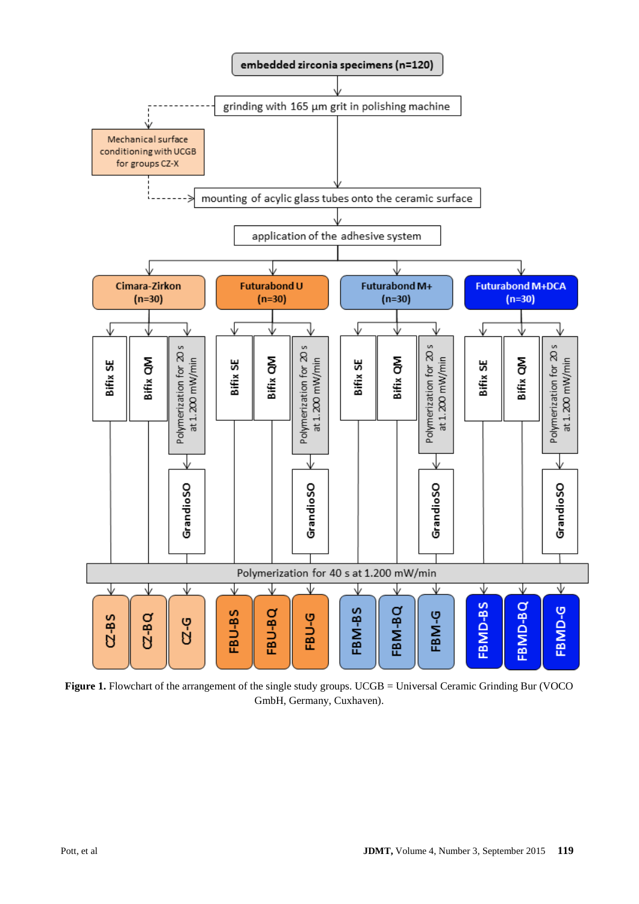

Figure 1. Flowchart of the arrangement of the single study groups. UCGB = Universal Ceramic Grinding Bur (VOCO GmbH, Germany, Cuxhaven).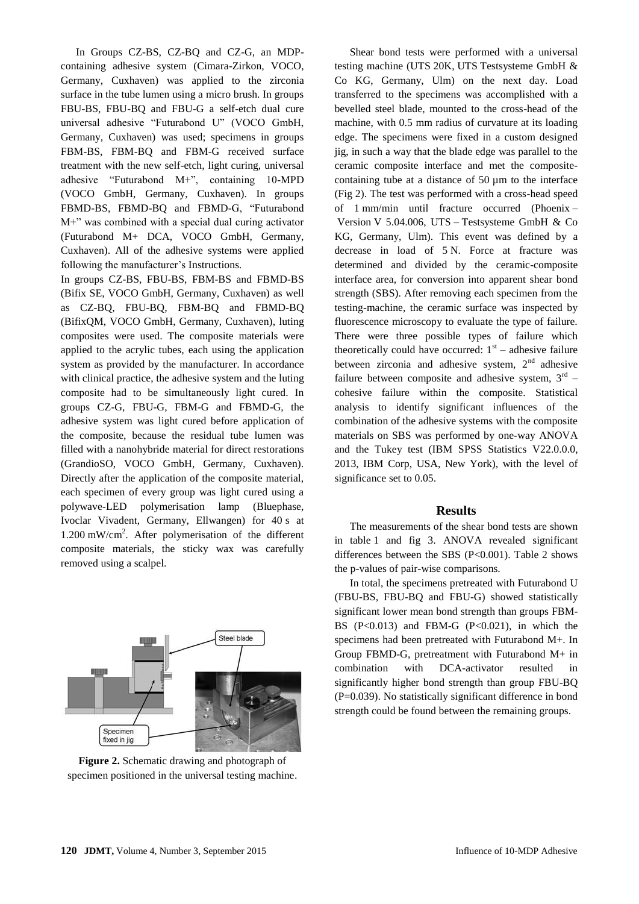In Groups CZ-BS, CZ-BQ and CZ-G, an MDPcontaining adhesive system (Cimara-Zirkon, VOCO, Germany, Cuxhaven) was applied to the zirconia surface in the tube lumen using a micro brush. In groups FBU-BS, FBU-BQ and FBU-G a self-etch dual cure universal adhesive "Futurabond U" (VOCO GmbH, Germany, Cuxhaven) was used; specimens in groups FBM-BS, FBM-BQ and FBM-G received surface treatment with the new self-etch, light curing, universal adhesive "Futurabond M+", containing 10-MPD (VOCO GmbH, Germany, Cuxhaven). In groups FBMD-BS, FBMD-BQ and FBMD-G, "Futurabond M+" was combined with a special dual curing activator (Futurabond M+ DCA, VOCO GmbH, Germany, Cuxhaven). All of the adhesive systems were applied following the manufacturer's Instructions.

In groups CZ-BS, FBU-BS, FBM-BS and FBMD-BS (Bifix SE, VOCO GmbH, Germany, Cuxhaven) as well as CZ-BQ, FBU-BQ, FBM-BQ and FBMD-BQ (BifixQM, VOCO GmbH, Germany, Cuxhaven), luting composites were used. The composite materials were applied to the acrylic tubes, each using the application system as provided by the manufacturer. In accordance with clinical practice, the adhesive system and the luting composite had to be simultaneously light cured. In groups CZ-G, FBU-G, FBM-G and FBMD-G, the adhesive system was light cured before application of the composite, because the residual tube lumen was filled with a nanohybride material for direct restorations (GrandioSO, VOCO GmbH, Germany, Cuxhaven). Directly after the application of the composite material, each specimen of every group was light cured using a polywave-LED polymerisation lamp (Bluephase, Ivoclar Vivadent, Germany, Ellwangen) for 40 s at 1.200 mW/cm<sup>2</sup> . After polymerisation of the different composite materials, the sticky wax was carefully removed using a scalpel.



**Figure 2.** Schematic drawing and photograph of specimen positioned in the universal testing machine.

Shear bond tests were performed with a universal testing machine (UTS 20K, UTS Testsysteme GmbH & Co KG, Germany, Ulm) on the next day. Load transferred to the specimens was accomplished with a bevelled steel blade, mounted to the cross-head of the machine, with 0.5 mm radius of curvature at its loading edge. The specimens were fixed in a custom designed jig, in such a way that the blade edge was parallel to the ceramic composite interface and met the compositecontaining tube at a distance of  $50 \mu m$  to the interface (Fig 2). The test was performed with a cross-head speed of 1 mm/min until fracture occurred (Phoenix – Version V 5.04.006, UTS – Testsysteme GmbH & Co KG, Germany, Ulm). This event was defined by a decrease in load of 5 N. Force at fracture was determined and divided by the ceramic-composite interface area, for conversion into apparent shear bond strength (SBS). After removing each specimen from the testing-machine, the ceramic surface was inspected by fluorescence microscopy to evaluate the type of failure. There were three possible types of failure which theoretically could have occurred:  $1<sup>st</sup>$  – adhesive failure between zirconia and adhesive system,  $2<sup>nd</sup>$  adhesive failure between composite and adhesive system,  $3<sup>rd</sup>$  cohesive failure within the composite. Statistical analysis to identify significant influences of the combination of the adhesive systems with the composite materials on SBS was performed by one-way ANOVA and the Tukey test (IBM SPSS Statistics V22.0.0.0, 2013, IBM Corp, USA, New York), with the level of significance set to 0.05.

## **Results**

The measurements of the shear bond tests are shown in table 1 and fig 3. ANOVA revealed significant differences between the SBS (P<0.001). Table 2 shows the p-values of pair-wise comparisons.

In total, the specimens pretreated with Futurabond U (FBU-BS, FBU-BQ and FBU-G) showed statistically significant lower mean bond strength than groups FBM-BS  $(P<0.013)$  and FBM-G  $(P<0.021)$ , in which the specimens had been pretreated with Futurabond M+. In Group FBMD-G, pretreatment with Futurabond M+ in combination with DCA-activator resulted in significantly higher bond strength than group FBU-BQ (P=0.039). No statistically significant difference in bond strength could be found between the remaining groups.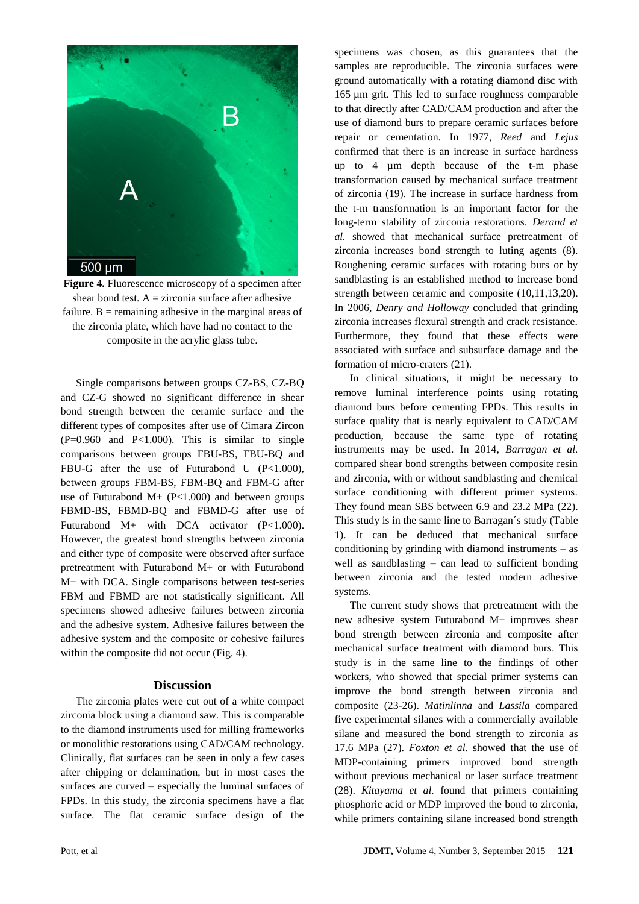

**Figure 4.** Fluorescence microscopy of a specimen after shear bond test.  $A = z$ irconia surface after adhesive failure.  $B =$  remaining adhesive in the marginal areas of the zirconia plate, which have had no contact to the composite in the acrylic glass tube.

Single comparisons between groups CZ-BS, CZ-BQ and CZ-G showed no significant difference in shear bond strength between the ceramic surface and the different types of composites after use of Cimara Zircon  $(P=0.960$  and  $P<1.000$ ). This is similar to single comparisons between groups FBU-BS, FBU-BQ and FBU-G after the use of Futurabond U (P<1.000), between groups FBM-BS, FBM-BQ and FBM-G after use of Futurabond M+  $(P<1.000)$  and between groups FBMD-BS, FBMD-BQ and FBMD-G after use of Futurabond M+ with DCA activator (P<1.000). However, the greatest bond strengths between zirconia and either type of composite were observed after surface pretreatment with Futurabond M+ or with Futurabond M+ with DCA. Single comparisons between test-series FBM and FBMD are not statistically significant. All specimens showed adhesive failures between zirconia and the adhesive system. Adhesive failures between the adhesive system and the composite or cohesive failures within the composite did not occur (Fig. 4).

#### **Discussion**

The zirconia plates were cut out of a white compact zirconia block using a diamond saw. This is comparable to the diamond instruments used for milling frameworks or monolithic restorations using CAD/CAM technology. Clinically, flat surfaces can be seen in only a few cases after chipping or delamination, but in most cases the surfaces are curved – especially the luminal surfaces of FPDs. In this study, the zirconia specimens have a flat surface. The flat ceramic surface design of the

specimens was chosen, as this guarantees that the samples are reproducible. The zirconia surfaces were ground automatically with a rotating diamond disc with 165 µm grit. This led to surface roughness comparable to that directly after CAD/CAM production and after the use of diamond burs to prepare ceramic surfaces before repair or cementation. In 1977, *Reed* and *Lejus* confirmed that there is an increase in surface hardness up to 4 µm depth because of the t-m phase transformation caused by mechanical surface treatment of zirconia (19). The increase in surface hardness from the t-m transformation is an important factor for the long-term stability of zirconia restorations. *Derand et al.* showed that mechanical surface pretreatment of zirconia increases bond strength to luting agents (8). Roughening ceramic surfaces with rotating burs or by sandblasting is an established method to increase bond strength between ceramic and composite (10,11,13,20). In 2006, *Denry and Holloway* concluded that grinding zirconia increases flexural strength and crack resistance. Furthermore, they found that these effects were associated with surface and subsurface damage and the formation of micro-craters (21).

In clinical situations, it might be necessary to remove luminal interference points using rotating diamond burs before cementing FPDs. This results in surface quality that is nearly equivalent to CAD/CAM production, because the same type of rotating instruments may be used. In 2014, *Barragan et al.* compared shear bond strengths between composite resin and zirconia, with or without sandblasting and chemical surface conditioning with different primer systems. They found mean SBS between 6.9 and 23.2 MPa (22). This study is in the same line to Barragan´s study (Table 1). It can be deduced that mechanical surface conditioning by grinding with diamond instruments – as well as sandblasting – can lead to sufficient bonding between zirconia and the tested modern adhesive systems.

The current study shows that pretreatment with the new adhesive system Futurabond M+ improves shear bond strength between zirconia and composite after mechanical surface treatment with diamond burs. This study is in the same line to the findings of other workers, who showed that special primer systems can improve the bond strength between zirconia and composite (23-26). *Matinlinna* and *Lassila* compared five experimental silanes with a commercially available silane and measured the bond strength to zirconia as 17.6 MPa (27). *Foxton et al.* showed that the use of MDP-containing primers improved bond strength without previous mechanical or laser surface treatment (28). *Kitayama et al.* found that primers containing phosphoric acid or MDP improved the bond to zirconia, while primers containing silane increased bond strength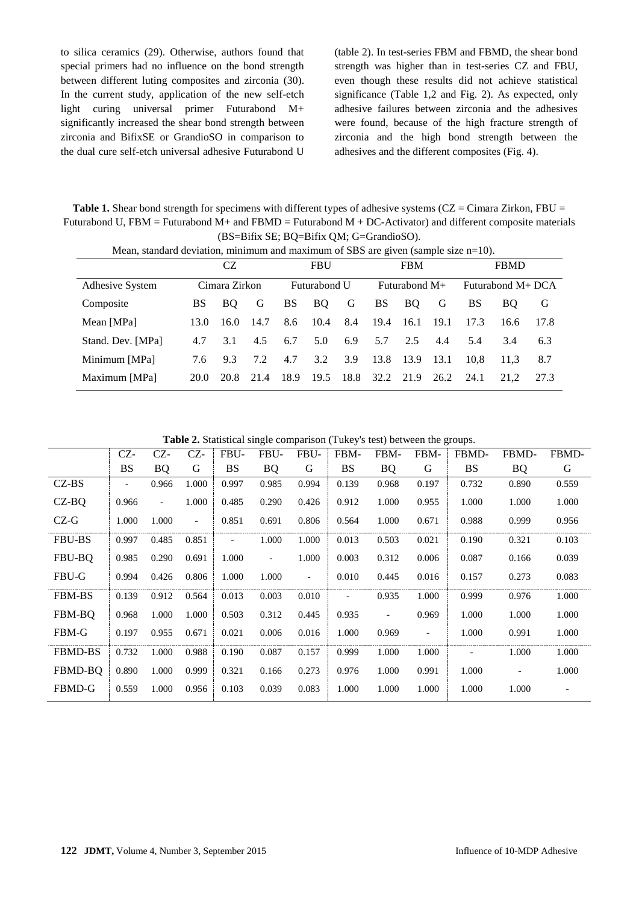to silica ceramics (29). Otherwise, authors found that special primers had no influence on the bond strength between different luting composites and zirconia (30). In the current study, application of the new self-etch light curing universal primer Futurabond M+ significantly increased the shear bond strength between zirconia and BifixSE or GrandioSO in comparison to the dual cure self-etch universal adhesive Futurabond U (table 2). In test-series FBM and FBMD, the shear bond strength was higher than in test-series CZ and FBU, even though these results did not achieve statistical significance (Table 1,2 and Fig. 2). As expected, only adhesive failures between zirconia and the adhesives were found, because of the high fracture strength of zirconia and the high bond strength between the adhesives and the different composites (Fig. 4).

Table 1. Shear bond strength for specimens with different types of adhesive systems (CZ = Cimara Zirkon, FBU = Futurabond U,  $FBM = Futurabond M + and FBMD = Futurabond M + DC-Activator)$  and different composite materials (BS=Bifix SE; BQ=Bifix QM; G=GrandioSO).

| Mean, standard deviation, minimum and maximum of SBS are given (sample size $n=10$ ). |               |      |      |              |           |      |                 |           |      |                   |      |      |
|---------------------------------------------------------------------------------------|---------------|------|------|--------------|-----------|------|-----------------|-----------|------|-------------------|------|------|
|                                                                                       | CZ            |      |      | <b>FBU</b>   |           |      | <b>FBM</b>      |           |      | <b>FBMD</b>       |      |      |
| Adhesive System                                                                       | Cimara Zirkon |      |      | Futurabond U |           |      | Futurabond $M+$ |           |      | Futurabond M+ DCA |      |      |
| Composite                                                                             | BS.           | BO.  | G    | BS.          | <b>BO</b> | G    | <b>BS</b>       | <b>BO</b> | G    | BS                | BO.  | G    |
| Mean [MPa]                                                                            | 13.0          | 16.0 | 14.7 | 8.6          | 10.4      | 8.4  | 19.4            | 16.1      | 19.1 | 17.3              | 16.6 | 17.8 |
| Stand. Dev. [MPa]                                                                     | 4.7           | 3.1  | 4.5  | 6.7          | 5.0       | 6.9  | 5.7             | 2.5       | 4.4  | 5.4               | 3.4  | 6.3  |
| Minimum [MPa]                                                                         | 7.6           | 9.3  | 7.2  | 4.7          | 3.2       | 3.9  | 13.8            | 13.9      | 13.1 | 10.8              | 11.3 | 8.7  |
| Maximum [MPa]                                                                         | 20.0          | 20.8 | 21.4 | 18.9         | 19.5      | 18.8 | 32.2            | 21.9      | 26.2 | 24.1              | 21.2 | 27.3 |

**Table 2.** Statistical single comparison (Tukey's test) between the groups.

|                | CZ-       | CZ-                      | CZ-                      | FBU-              | FBU-                     | FBU-                     | FBM-      | FBM-      | FBM-                     | FBMD-     | FBMD-     | FBMD- |
|----------------|-----------|--------------------------|--------------------------|-------------------|--------------------------|--------------------------|-----------|-----------|--------------------------|-----------|-----------|-------|
|                | <b>BS</b> | <b>BQ</b>                | G                        | <b>BS</b>         | BQ                       | G                        | <b>BS</b> | <b>BQ</b> | G                        | <b>BS</b> | <b>BQ</b> | G     |
| $CZ-BS$        |           | 0.966                    | 1.000                    | 0.997             | 0.985                    | 0.994                    | 0.139     | 0.968     | 0.197                    | 0.732     | 0.890     | 0.559 |
| CZ-BO          | 0.966     | $\overline{\phantom{a}}$ | 1.000                    | 0.485             | 0.290                    | 0.426                    | 0.912     | 1.000     | 0.955                    | 1.000     | 1.000     | 1.000 |
| $CZ-G$         | 1.000     | 1.000                    | $\overline{\phantom{a}}$ | 0.851             | 0.691                    | 0.806                    | 0.564     | 1.000     | 0.671                    | 0.988     | 0.999     | 0.956 |
| <b>FBU-BS</b>  | 0.997     | 0.485                    | 0.851                    | $\qquad \qquad -$ | 1.000                    | 1.000                    | 0.013     | 0.503     | 0.021                    | 0.190     | 0.321     | 0.103 |
| FBU-BO         | 0.985     | 0.290                    | 0.691                    | 1.000             | $\overline{\phantom{a}}$ | 1.000                    | 0.003     | 0.312     | 0.006                    | 0.087     | 0.166     | 0.039 |
| <b>FBU-G</b>   | 0.994     | 0.426                    | 0.806                    | 1.000             | 1.000                    | $\overline{\phantom{0}}$ | 0.010     | 0.445     | 0.016                    | 0.157     | 0.273     | 0.083 |
| <b>FBM-BS</b>  | 0.139     | 0.912                    | 0.564                    | 0.013             | 0.003                    | 0.010                    |           | 0.935     | 1.000                    | 0.999     | 0.976     | 1.000 |
| FBM-BO         | 0.968     | 1.000                    | 1.000                    | 0.503             | 0.312                    | 0.445                    | 0.935     |           | 0.969                    | 1.000     | 1.000     | 1.000 |
| FBM-G          | 0.197     | 0.955                    | 0.671                    | 0.021             | 0.006                    | 0.016                    | 1.000     | 0.969     | $\overline{\phantom{0}}$ | 1.000     | 0.991     | 1.000 |
| <b>FBMD-BS</b> | 0.732     | 1.000                    | 0.988                    | 0.190             | 0.087                    | 0.157                    | 0.999     | 1.000     | 1.000                    |           | 1.000     | 1.000 |
| FBMD-BO        | 0.890     | 1.000                    | 0.999                    | 0.321             | 0.166                    | 0.273                    | 0.976     | 1.000     | 0.991                    | 1.000     |           | 1.000 |
| FBMD-G         | 0.559     | 1.000                    | 0.956                    | 0.103             | 0.039                    | 0.083                    | 1.000     | 1.000     | 1.000                    | 1.000     | 1.000     |       |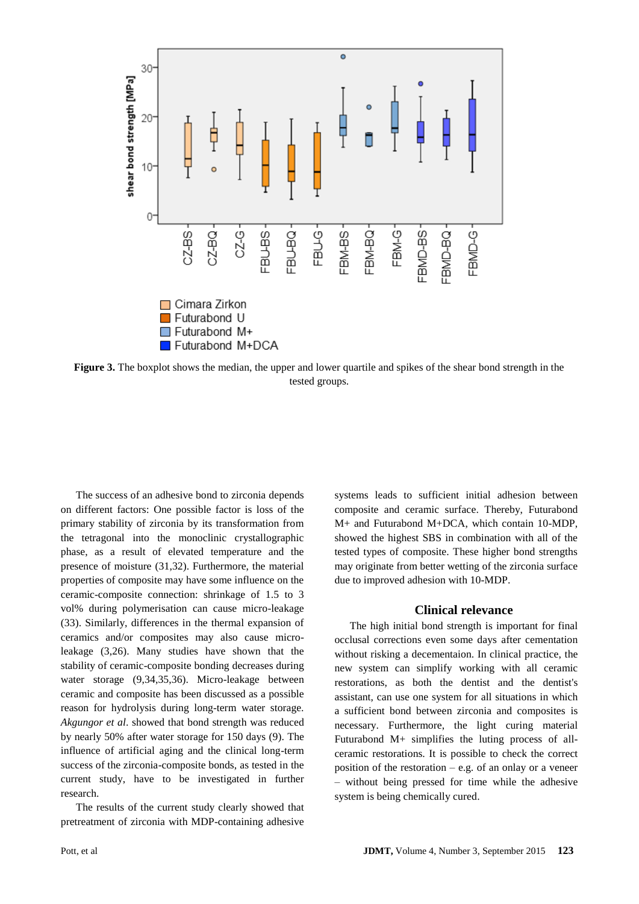

**Figure 3.** The boxplot shows the median, the upper and lower quartile and spikes of the shear bond strength in the tested groups.

The success of an adhesive bond to zirconia depends on different factors: One possible factor is loss of the primary stability of zirconia by its transformation from the tetragonal into the monoclinic crystallographic phase, as a result of elevated temperature and the presence of moisture (31,32). Furthermore, the material properties of composite may have some influence on the ceramic-composite connection: shrinkage of 1.5 to 3 vol% during polymerisation can cause micro-leakage (33). Similarly, differences in the thermal expansion of ceramics and/or composites may also cause microleakage (3,26). Many studies have shown that the stability of ceramic-composite bonding decreases during water storage (9,34,35,36). Micro-leakage between ceramic and composite has been discussed as a possible reason for hydrolysis during long-term water storage. *Akgungor et al*. showed that bond strength was reduced by nearly 50% after water storage for 150 days (9). The influence of artificial aging and the clinical long-term success of the zirconia-composite bonds, as tested in the current study, have to be investigated in further research.

The results of the current study clearly showed that pretreatment of zirconia with MDP-containing adhesive

systems leads to sufficient initial adhesion between composite and ceramic surface. Thereby, Futurabond M+ and Futurabond M+DCA, which contain 10-MDP, showed the highest SBS in combination with all of the tested types of composite. These higher bond strengths may originate from better wetting of the zirconia surface due to improved adhesion with 10-MDP.

#### **Clinical relevance**

The high initial bond strength is important for final occlusal corrections even some days after cementation without risking a decementaion. In clinical practice, the new system can simplify working with all ceramic restorations, as both the dentist and the dentist's assistant, can use one system for all situations in which a sufficient bond between zirconia and composites is necessary. Furthermore, the light curing material Futurabond M+ simplifies the luting process of allceramic restorations. It is possible to check the correct position of the restoration  $-$  e.g. of an onlay or a veneer – without being pressed for time while the adhesive system is being chemically cured.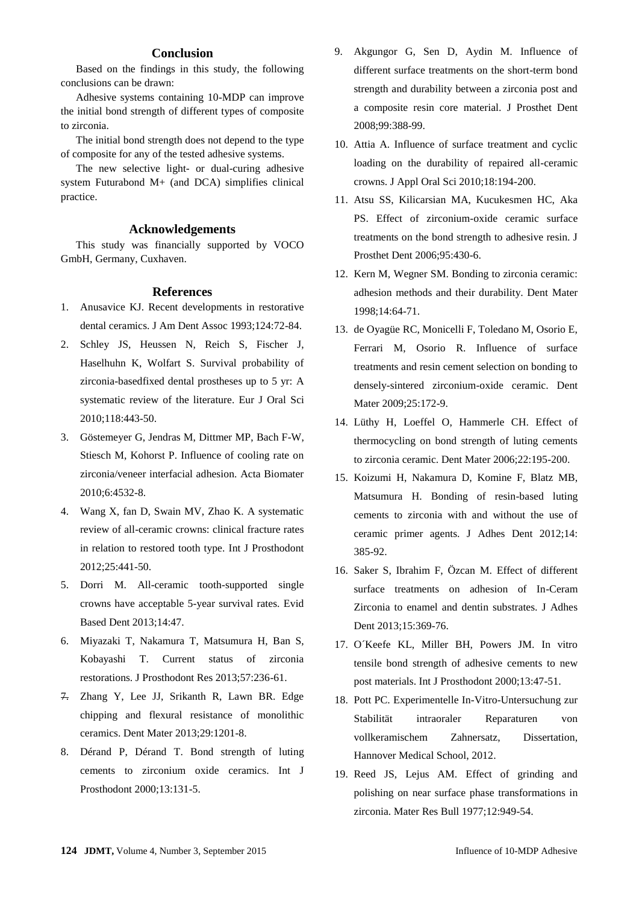## **Conclusion**

Based on the findings in this study, the following conclusions can be drawn:

Adhesive systems containing 10-MDP can improve the initial bond strength of different types of composite to zirconia.

The initial bond strength does not depend to the type of composite for any of the tested adhesive systems.

The new selective light- or dual-curing adhesive system Futurabond M+ (and DCA) simplifies clinical practice.

## **Acknowledgements**

This study was financially supported by VOCO GmbH, Germany, Cuxhaven.

#### **References**

- 1. Anusavice KJ. Recent developments in restorative dental ceramics. J Am Dent Assoc 1993;124:72-84.
- 2. Schley JS, Heussen N, Reich S, Fischer J, Haselhuhn K, Wolfart S. Survival probability of zirconia-basedfixed dental prostheses up to 5 yr: A systematic review of the literature. Eur J Oral Sci 2010;118:443-50.
- 3. Göstemeyer G, Jendras M, Dittmer MP, Bach F-W, Stiesch M, Kohorst P. Influence of cooling rate on zirconia/veneer interfacial adhesion. Acta Biomater 2010;6:4532-8.
- 4. Wang X, fan D, Swain MV, Zhao K. A systematic review of all-ceramic crowns: clinical fracture rates in relation to restored tooth type. Int J Prosthodont 2012;25:441-50.
- 5. Dorri M. All-ceramic tooth-supported single crowns have acceptable 5-year survival rates. Evid Based Dent 2013;14:47.
- 6. Miyazaki T, Nakamura T, Matsumura H, Ban S, Kobayashi T. Current status of zirconia restorations. J Prosthodont Res 2013;57:236-61.
- 7. Zhang Y, Lee JJ, Srikanth R, Lawn BR. Edge chipping and flexural resistance of monolithic ceramics. Dent Mater 2013;29:1201-8.
- 8. Dérand P, Dérand T. Bond strength of luting cements to zirconium oxide ceramics. Int J Prosthodont 2000;13:131-5.
- 9. Akgungor G, Sen D, Aydin M. Influence of different surface treatments on the short-term bond strength and durability between a zirconia post and a composite resin core material. J Prosthet Dent 2008;99:388-99.
- 10. Attia A. Influence of surface treatment and cyclic loading on the durability of repaired all-ceramic crowns. J Appl Oral Sci 2010;18:194-200.
- 11. Atsu SS, Kilicarsian MA, Kucukesmen HC, Aka PS. Effect of zirconium-oxide ceramic surface treatments on the bond strength to adhesive resin. J Prosthet Dent 2006;95:430-6.
- 12. Kern M, Wegner SM. Bonding to zirconia ceramic: adhesion methods and their durability. Dent Mater 1998;14:64-71.
- 13. de Oyagüe RC, Monicelli F, Toledano M, Osorio E, Ferrari M, Osorio R. Influence of surface treatments and resin cement selection on bonding to densely-sintered zirconium-oxide ceramic. Dent Mater 2009;25:172-9.
- 14. Lüthy H, Loeffel O, Hammerle CH. Effect of thermocycling on bond strength of luting cements to zirconia ceramic. Dent Mater 2006;22:195-200.
- 15. Koizumi H, Nakamura D, Komine F, Blatz MB, Matsumura H. Bonding of resin-based luting cements to zirconia with and without the use of ceramic primer agents. J Adhes Dent 2012;14: 385-92.
- 16. Saker S, Ibrahim F, Özcan M. Effect of different surface treatments on adhesion of In-Ceram Zirconia to enamel and dentin substrates. J Adhes Dent 2013;15:369-76.
- 17. O´Keefe KL, Miller BH, Powers JM. In vitro tensile bond strength of adhesive cements to new post materials. Int J Prosthodont 2000;13:47-51.
- 18. Pott PC. Experimentelle In-Vitro-Untersuchung zur Stabilität intraoraler Reparaturen von vollkeramischem Zahnersatz, Dissertation, Hannover Medical School, 2012.
- 19. Reed JS, Lejus AM. Effect of grinding and polishing on near surface phase transformations in zirconia. Mater Res Bull 1977;12:949-54.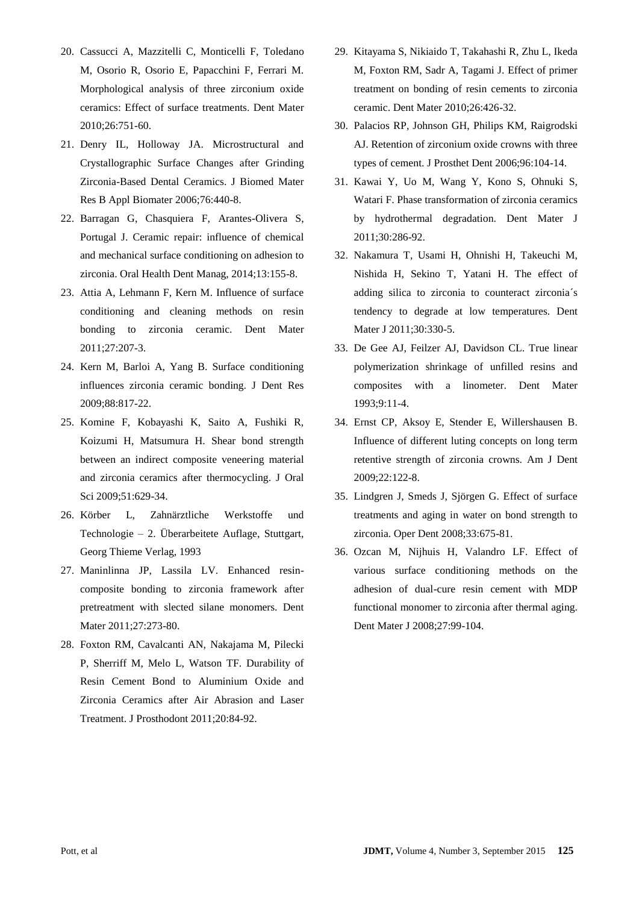- 20. Cassucci A, Mazzitelli C, Monticelli F, Toledano M, Osorio R, Osorio E, Papacchini F, Ferrari M. Morphological analysis of three zirconium oxide ceramics: Effect of surface treatments. Dent Mater 2010;26:751-60.
- 21. Denry IL, Holloway JA. Microstructural and Crystallographic Surface Changes after Grinding Zirconia-Based Dental Ceramics. J Biomed Mater Res B Appl Biomater 2006;76:440-8.
- 22. Barragan G, Chasquiera F, Arantes-Olivera S, Portugal J. Ceramic repair: influence of chemical and mechanical surface conditioning on adhesion to zirconia. Oral Health Dent Manag, 2014;13:155-8.
- 23. Attia A, Lehmann F, Kern M. Influence of surface conditioning and cleaning methods on resin bonding to zirconia ceramic. Dent Mater 2011;27:207-3.
- 24. Kern M, Barloi A, Yang B. Surface conditioning influences zirconia ceramic bonding. J Dent Res 2009;88:817-22.
- 25. Komine F, Kobayashi K, Saito A, Fushiki R, Koizumi H, Matsumura H. Shear bond strength between an indirect composite veneering material and zirconia ceramics after thermocycling. J Oral Sci 2009;51:629-34.
- 26. Körber L, Zahnärztliche Werkstoffe und Technologie – 2. Überarbeitete Auflage, Stuttgart, Georg Thieme Verlag, 1993
- 27. Maninlinna JP, Lassila LV. Enhanced resincomposite bonding to zirconia framework after pretreatment with slected silane monomers. Dent Mater 2011;27:273-80.
- 28. Foxton RM, Cavalcanti AN, Nakajama M, Pilecki P, Sherriff M, Melo L, Watson TF. Durability of Resin Cement Bond to Aluminium Oxide and Zirconia Ceramics after Air Abrasion and Laser Treatment. J Prosthodont 2011;20:84-92.
- 29. Kitayama S, Nikiaido T, Takahashi R, Zhu L, Ikeda M, Foxton RM, Sadr A, Tagami J. Effect of primer treatment on bonding of resin cements to zirconia ceramic. Dent Mater 2010;26:426-32.
- 30. Palacios RP, Johnson GH, Philips KM, Raigrodski AJ. Retention of zirconium oxide crowns with three types of cement. J Prosthet Dent 2006;96:104-14.
- 31. Kawai Y, Uo M, Wang Y, Kono S, Ohnuki S, Watari F. Phase transformation of zirconia ceramics by hydrothermal degradation. Dent Mater J 2011;30:286-92.
- 32. Nakamura T, Usami H, Ohnishi H, Takeuchi M, Nishida H, Sekino T, Yatani H. The effect of adding silica to zirconia to counteract zirconia´s tendency to degrade at low temperatures. Dent Mater J 2011;30:330-5.
- 33. De Gee AJ, Feilzer AJ, Davidson CL. True linear polymerization shrinkage of unfilled resins and composites with a linometer. Dent Mater 1993;9:11-4.
- 34. Ernst CP, Aksoy E, Stender E, Willershausen B. Influence of different luting concepts on long term retentive strength of zirconia crowns. Am J Dent 2009;22:122-8.
- 35. Lindgren J, Smeds J, Sjörgen G. Effect of surface treatments and aging in water on bond strength to zirconia. Oper Dent 2008;33:675-81.
- 36. Ozcan M, Nijhuis H, Valandro LF. Effect of various surface conditioning methods on the adhesion of dual-cure resin cement with MDP functional monomer to zirconia after thermal aging. Dent Mater J 2008;27:99-104.